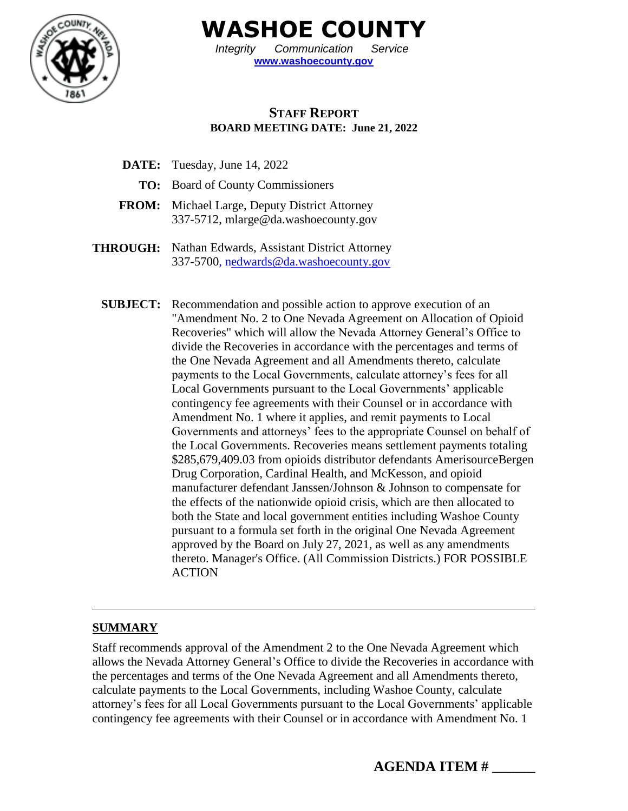

**WASHOE COUNTY**

*Integrity Communication Service* **[www.washoecounty.gov](http://www.washoecounty.gov/)**

## **STAFF REPORT BOARD MEETING DATE: June 21, 2022**

- **DATE:** Tuesday, June 14, 2022
	- **TO:** Board of County Commissioners
- **FROM:** Michael Large, Deputy District Attorney 337-5712, mlarge@da.washoecounty.gov
- **THROUGH:** Nathan Edwards, Assistant District Attorney 337-5700, nedwards@da.washoecounty.gov
	- **SUBJECT:** Recommendation and possible action to approve execution of an "Amendment No. 2 to One Nevada Agreement on Allocation of Opioid Recoveries" which will allow the Nevada Attorney General's Office to divide the Recoveries in accordance with the percentages and terms of the One Nevada Agreement and all Amendments thereto, calculate payments to the Local Governments, calculate attorney's fees for all Local Governments pursuant to the Local Governments' applicable contingency fee agreements with their Counsel or in accordance with Amendment No. 1 where it applies, and remit payments to Local Governments and attorneys' fees to the appropriate Counsel on behalf of the Local Governments. Recoveries means settlement payments totaling \$285,679,409.03 from opioids distributor defendants AmerisourceBergen Drug Corporation, Cardinal Health, and McKesson, and opioid manufacturer defendant Janssen/Johnson & Johnson to compensate for the effects of the nationwide opioid crisis, which are then allocated to both the State and local government entities including Washoe County pursuant to a formula set forth in the original One Nevada Agreement approved by the Board on July 27, 2021, as well as any amendments thereto. Manager's Office. (All Commission Districts.) FOR POSSIBLE ACTION

#### **SUMMARY**

Staff recommends approval of the Amendment 2 to the One Nevada Agreement which allows the Nevada Attorney General's Office to divide the Recoveries in accordance with the percentages and terms of the One Nevada Agreement and all Amendments thereto, calculate payments to the Local Governments, including Washoe County, calculate attorney's fees for all Local Governments pursuant to the Local Governments' applicable contingency fee agreements with their Counsel or in accordance with Amendment No. 1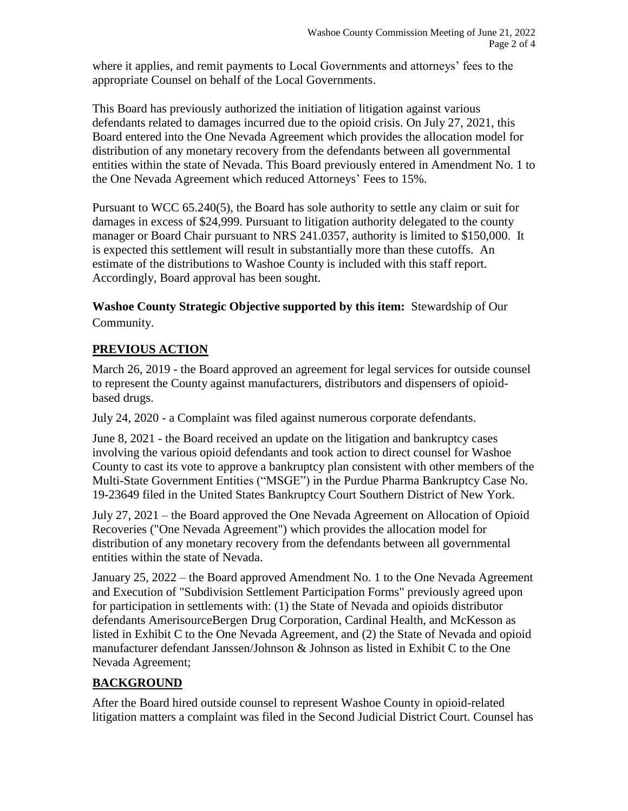where it applies, and remit payments to Local Governments and attorneys' fees to the appropriate Counsel on behalf of the Local Governments.

This Board has previously authorized the initiation of litigation against various defendants related to damages incurred due to the opioid crisis. On July 27, 2021, this Board entered into the One Nevada Agreement which provides the allocation model for distribution of any monetary recovery from the defendants between all governmental entities within the state of Nevada. This Board previously entered in Amendment No. 1 to the One Nevada Agreement which reduced Attorneys' Fees to 15%.

Pursuant to WCC 65.240(5), the Board has sole authority to settle any claim or suit for damages in excess of \$24,999. Pursuant to litigation authority delegated to the county manager or Board Chair pursuant to NRS 241.0357, authority is limited to \$150,000. It is expected this settlement will result in substantially more than these cutoffs. An estimate of the distributions to Washoe County is included with this staff report. Accordingly, Board approval has been sought.

## **Washoe County Strategic Objective supported by this item:** Stewardship of Our Community.

# **PREVIOUS ACTION**

March 26, 2019 - the Board approved an agreement for legal services for outside counsel to represent the County against manufacturers, distributors and dispensers of opioidbased drugs.

July 24, 2020 - a Complaint was filed against numerous corporate defendants.

June 8, 2021 - the Board received an update on the litigation and bankruptcy cases involving the various opioid defendants and took action to direct counsel for Washoe County to cast its vote to approve a bankruptcy plan consistent with other members of the Multi-State Government Entities ("MSGE") in the Purdue Pharma Bankruptcy Case No. 19-23649 filed in the United States Bankruptcy Court Southern District of New York.

July 27, 2021 – the Board approved the One Nevada Agreement on Allocation of Opioid Recoveries ("One Nevada Agreement") which provides the allocation model for distribution of any monetary recovery from the defendants between all governmental entities within the state of Nevada.

January 25, 2022 – the Board approved Amendment No. 1 to the One Nevada Agreement and Execution of "Subdivision Settlement Participation Forms" previously agreed upon for participation in settlements with: (1) the State of Nevada and opioids distributor defendants AmerisourceBergen Drug Corporation, Cardinal Health, and McKesson as listed in Exhibit C to the One Nevada Agreement, and (2) the State of Nevada and opioid manufacturer defendant Janssen/Johnson & Johnson as listed in Exhibit C to the One Nevada Agreement;

# **BACKGROUND**

After the Board hired outside counsel to represent Washoe County in opioid-related litigation matters a complaint was filed in the Second Judicial District Court. Counsel has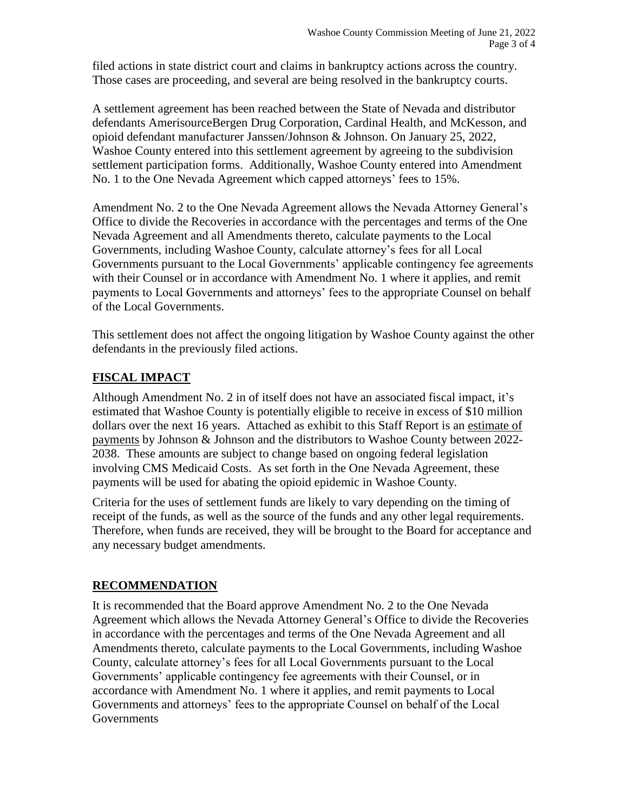filed actions in state district court and claims in bankruptcy actions across the country. Those cases are proceeding, and several are being resolved in the bankruptcy courts.

A settlement agreement has been reached between the State of Nevada and distributor defendants AmerisourceBergen Drug Corporation, Cardinal Health, and McKesson, and opioid defendant manufacturer Janssen/Johnson & Johnson. On January 25, 2022, Washoe County entered into this settlement agreement by agreeing to the subdivision settlement participation forms. Additionally, Washoe County entered into Amendment No. 1 to the One Nevada Agreement which capped attorneys' fees to 15%.

Amendment No. 2 to the One Nevada Agreement allows the Nevada Attorney General's Office to divide the Recoveries in accordance with the percentages and terms of the One Nevada Agreement and all Amendments thereto, calculate payments to the Local Governments, including Washoe County, calculate attorney's fees for all Local Governments pursuant to the Local Governments' applicable contingency fee agreements with their Counsel or in accordance with Amendment No. 1 where it applies, and remit payments to Local Governments and attorneys' fees to the appropriate Counsel on behalf of the Local Governments.

This settlement does not affect the ongoing litigation by Washoe County against the other defendants in the previously filed actions.

### **FISCAL IMPACT**

Although Amendment No. 2 in of itself does not have an associated fiscal impact, it's estimated that Washoe County is potentially eligible to receive in excess of \$10 million dollars over the next 16 years. Attached as exhibit to this Staff Report is an estimate of payments by Johnson & Johnson and the distributors to Washoe County between 2022- 2038. These amounts are subject to change based on ongoing federal legislation involving CMS Medicaid Costs. As set forth in the One Nevada Agreement, these payments will be used for abating the opioid epidemic in Washoe County.

Criteria for the uses of settlement funds are likely to vary depending on the timing of receipt of the funds, as well as the source of the funds and any other legal requirements. Therefore, when funds are received, they will be brought to the Board for acceptance and any necessary budget amendments.

## **RECOMMENDATION**

It is recommended that the Board approve Amendment No. 2 to the One Nevada Agreement which allows the Nevada Attorney General's Office to divide the Recoveries in accordance with the percentages and terms of the One Nevada Agreement and all Amendments thereto, calculate payments to the Local Governments, including Washoe County, calculate attorney's fees for all Local Governments pursuant to the Local Governments' applicable contingency fee agreements with their Counsel, or in accordance with Amendment No. 1 where it applies, and remit payments to Local Governments and attorneys' fees to the appropriate Counsel on behalf of the Local Governments